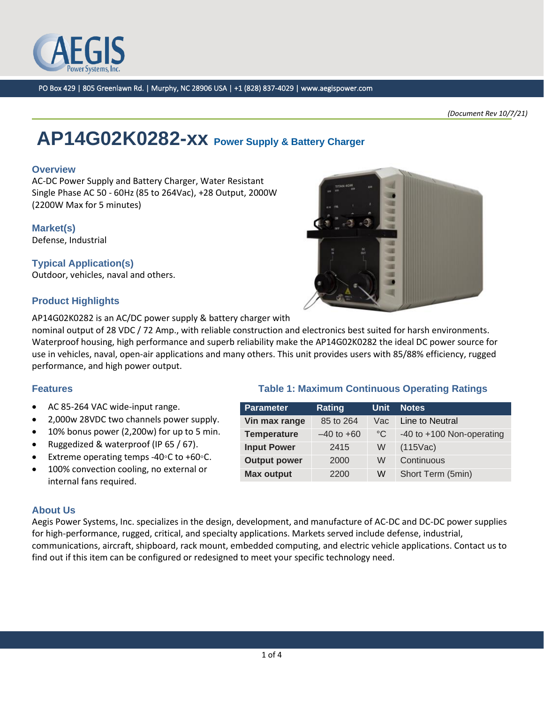

*(Document Rev 10/7/21)*

# **AP14G02K0282-xx Power Supply & Battery Charger**

#### **Overview**

AC-DC Power Supply and Battery Charger, Water Resistant Single Phase AC 50 - 60Hz (85 to 264Vac), +28 Output, 2000W (2200W Max for 5 minutes)

#### **Market(s)**

Defense, Industrial

### **Typical Application(s)**

Outdoor, vehicles, naval and others.

# **Product Highlights**

AP14G02K0282 is an AC/DC power supply & battery charger with

nominal output of 28 VDC / 72 Amp., with reliable construction and electronics best suited for harsh environments. Waterproof housing, high performance and superb reliability make the AP14G02K0282 the ideal DC power source for use in vehicles, naval, open-air applications and many others. This unit provides users with 85/88% efficiency, rugged performance, and high power output.

**Parameter Rating Unit Notes** 

**Input Power** 2415 W (115Vac) **Output power** 2000 W Continuous

**Vin max range** 85 to 264 Vac Line to Neutral

**Max output** 2200 W Short Term (5min)

**Temperature** –40 to +60 °C -40 to +100 Non-operating

#### **Features Table 1: Maximum Continuous Operating Ratings**

- AC 85-264 VAC wide-input range.
- 2,000w 28VDC two channels power supply.
- 10% bonus power (2,200w) for up to 5 min.
- Ruggedized & waterproof (IP 65 / 67).
- Extreme operating temps -40◦C to +60◦C.
- 100% convection cooling, no external or internal fans required.

#### **About Us**

Aegis Power Systems, Inc. specializes in the design, development, and manufacture of AC-DC and DC-DC power supplies for high-performance, rugged, critical, and specialty applications. Markets served include defense, industrial, communications, aircraft, shipboard, rack mount, embedded computing, and electric vehicle applications. Contact us to find out if this item can be configured or redesigned to meet your specific technology need.

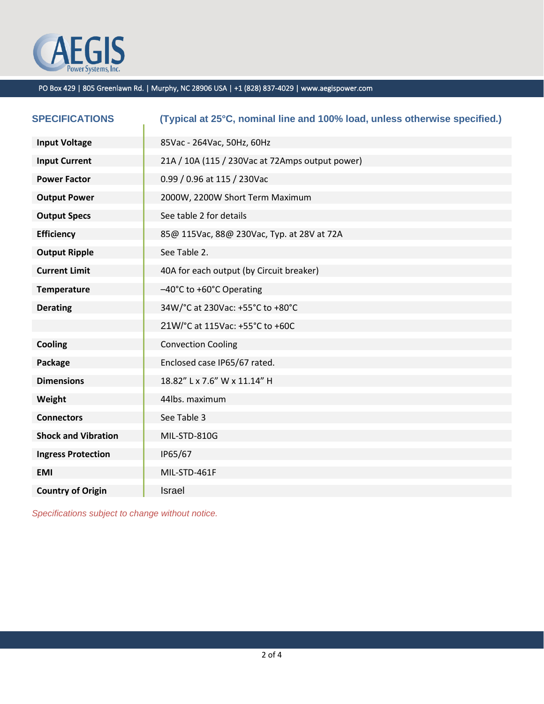

| <b>SPECIFICATIONS</b>      | (Typical at 25°C, nominal line and 100% load, unless otherwise specified.) |  |
|----------------------------|----------------------------------------------------------------------------|--|
| <b>Input Voltage</b>       | 85Vac - 264Vac, 50Hz, 60Hz                                                 |  |
| <b>Input Current</b>       | 21A / 10A (115 / 230Vac at 72Amps output power)                            |  |
| <b>Power Factor</b>        | 0.99 / 0.96 at 115 / 230Vac                                                |  |
| <b>Output Power</b>        | 2000W, 2200W Short Term Maximum                                            |  |
| <b>Output Specs</b>        | See table 2 for details                                                    |  |
| <b>Efficiency</b>          | 85@ 115Vac, 88@ 230Vac, Typ. at 28V at 72A                                 |  |
| <b>Output Ripple</b>       | See Table 2.                                                               |  |
| <b>Current Limit</b>       | 40A for each output (by Circuit breaker)                                   |  |
| <b>Temperature</b>         | -40°C to +60°C Operating                                                   |  |
| <b>Derating</b>            | 34W/°C at 230Vac: +55°C to +80°C                                           |  |
|                            | 21W/°C at 115Vac: +55°C to +60C                                            |  |
| Cooling                    | <b>Convection Cooling</b>                                                  |  |
| Package                    | Enclosed case IP65/67 rated.                                               |  |
| <b>Dimensions</b>          | 18.82" L x 7.6" W x 11.14" H                                               |  |
| Weight                     | 44lbs. maximum                                                             |  |
| <b>Connectors</b>          | See Table 3                                                                |  |
| <b>Shock and Vibration</b> | MIL-STD-810G                                                               |  |
| <b>Ingress Protection</b>  | IP65/67                                                                    |  |
| <b>EMI</b>                 | MIL-STD-461F                                                               |  |
| <b>Country of Origin</b>   | Israel                                                                     |  |

*Specifications subject to change without notice.*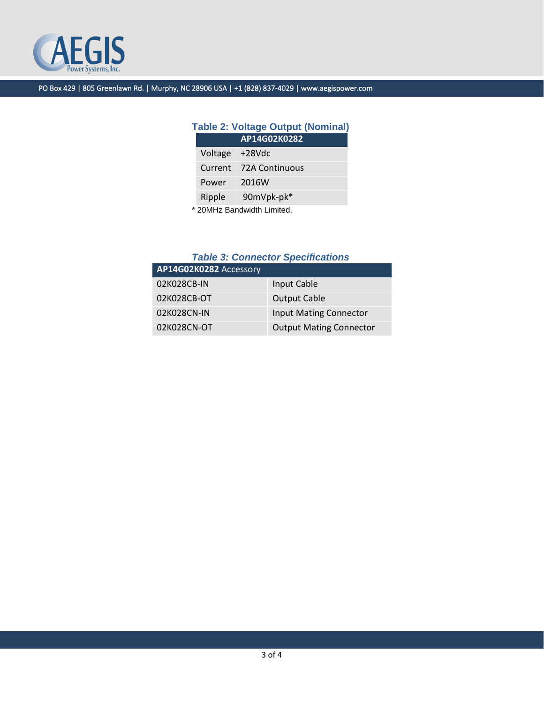

# **Table 2: Voltage Output (Nominal)**

| AP14G02K0282 |                       |  |
|--------------|-----------------------|--|
| Voltage      | $+28Vdc$              |  |
| Current      | <b>72A Continuous</b> |  |
| Power        | 2016W                 |  |
| Ripple       | 90mVpk-pk*            |  |
|              |                       |  |

\* 20MHz Bandwidth Limited.

# *Table 3: Connector Specifications*

| AP14G02K0282 Accessory |                                |  |  |
|------------------------|--------------------------------|--|--|
| 02K028CB-IN            | Input Cable                    |  |  |
| 02K028CB-OT            | <b>Output Cable</b>            |  |  |
| 02K028CN-IN            | <b>Input Mating Connector</b>  |  |  |
| 02K028CN-OT            | <b>Output Mating Connector</b> |  |  |